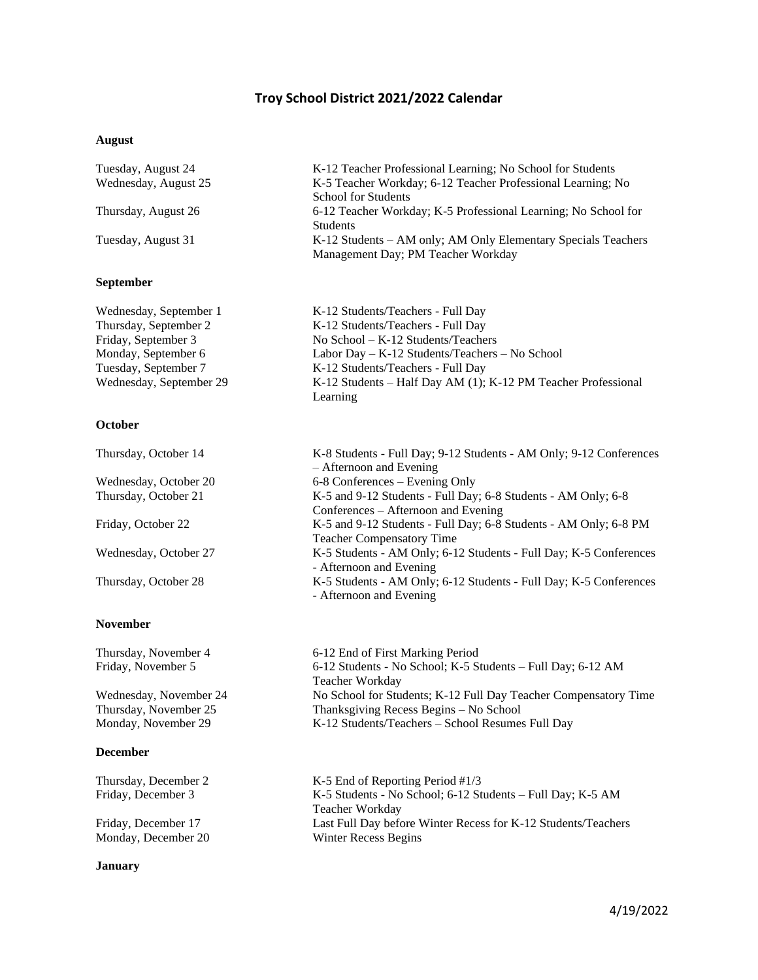# **Troy School District 2021/2022 Calendar**

### **August**

| Tuesday, August 24<br>Wednesday, August 25 | K-12 Teacher Professional Learning; No School for Students<br>K-5 Teacher Workday; 6-12 Teacher Professional Learning; No |  |  |  |
|--------------------------------------------|---------------------------------------------------------------------------------------------------------------------------|--|--|--|
| Thursday, August 26                        | <b>School for Students</b><br>6-12 Teacher Workday; K-5 Professional Learning; No School for                              |  |  |  |
|                                            | <b>Students</b>                                                                                                           |  |  |  |
| Tuesday, August 31                         | K-12 Students – AM only; AM Only Elementary Specials Teachers<br>Management Day; PM Teacher Workday                       |  |  |  |
| <b>September</b>                           |                                                                                                                           |  |  |  |

| K-12 Students/Teachers - Full Day                             |
|---------------------------------------------------------------|
| K-12 Students/Teachers - Full Day                             |
| No School $-K-12$ Students/Teachers                           |
| Labor Day $-$ K-12 Students/Teachers $-$ No School            |
| K-12 Students/Teachers - Full Day                             |
| K-12 Students – Half Day AM (1); K-12 PM Teacher Professional |
| Learning                                                      |
|                                                               |

### **October**

| Thursday, October 14  | K-8 Students - Full Day; 9-12 Students - AM Only; 9-12 Conferences |
|-----------------------|--------------------------------------------------------------------|
|                       | - Afternoon and Evening                                            |
| Wednesday, October 20 | 6-8 Conferences – Evening Only                                     |
| Thursday, October 21  | K-5 and 9-12 Students - Full Day; 6-8 Students - AM Only; 6-8      |
|                       | Conferences – Afternoon and Evening                                |
| Friday, October 22    | K-5 and 9-12 Students - Full Day; 6-8 Students - AM Only; 6-8 PM   |
|                       | <b>Teacher Compensatory Time</b>                                   |
| Wednesday, October 27 | K-5 Students - AM Only; 6-12 Students - Full Day; K-5 Conferences  |
|                       | - Afternoon and Evening                                            |
| Thursday, October 28  | K-5 Students - AM Only; 6-12 Students - Full Day; K-5 Conferences  |
|                       | - Afternoon and Evening                                            |
|                       |                                                                    |

### **December**

**November** 

Monday, December 20

### **January**

Thursday, November 4 6-12 End of First Marking Period Friday, November 5 6-12 Students - No School; K-5 Students – Full Day; 6-12 AM Teacher Workday Wednesday, November 24 No School for Students; K-12 Full Day Teacher Compensatory Time Thursday, November 25 Thanksgiving Recess Begins – No School<br>Monday, November 29 K-12 Students/Teachers – School Resumes K-12 Students/Teachers – School Resumes Full Day

Thursday, December 2 K-5 End of Reporting Period #1/3 Friday, December 3 K-5 Students - No School; 6-12 Students – Full Day; K-5 AM Teacher Workday Friday, December 17 Last Full Day before Winter Recess for K-12 Students/Teachers<br>Monday, December 20 Winter Recess Begins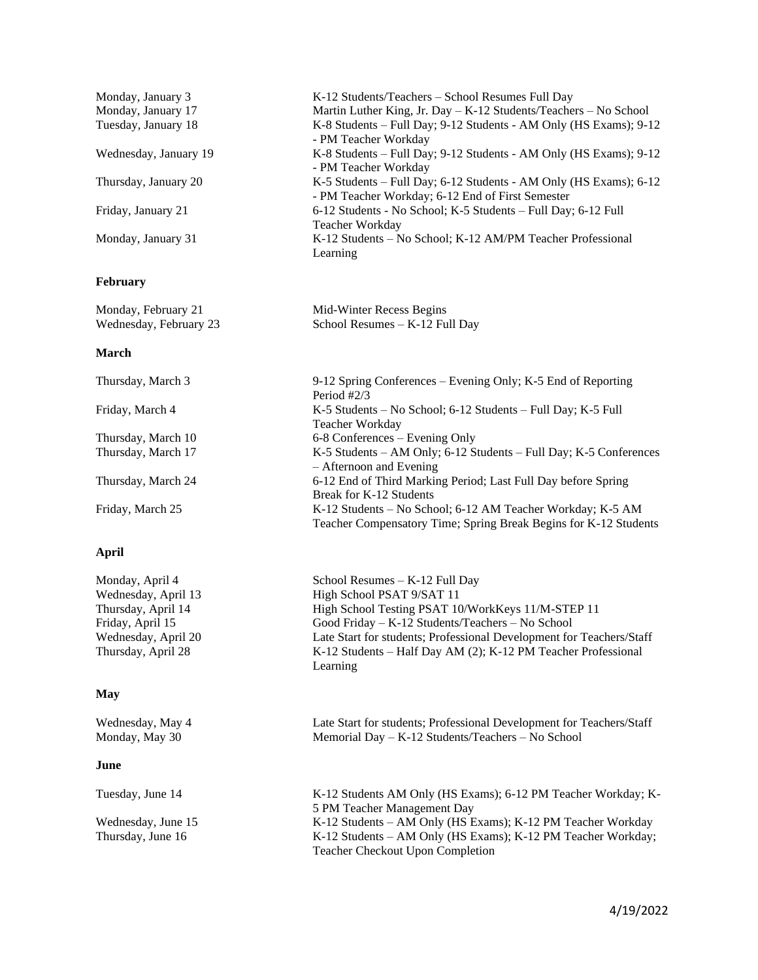| Monday, January 3     | K-12 Students/Teachers – School Resumes Full Day                     |  |  |  |
|-----------------------|----------------------------------------------------------------------|--|--|--|
| Monday, January 17    | Martin Luther King, Jr. Day $-$ K-12 Students/Teachers $-$ No School |  |  |  |
| Tuesday, January 18   | K-8 Students – Full Day; 9-12 Students - AM Only (HS Exams); 9-12    |  |  |  |
|                       | - PM Teacher Workday                                                 |  |  |  |
| Wednesday, January 19 | K-8 Students - Full Day; 9-12 Students - AM Only (HS Exams); 9-12    |  |  |  |
|                       | - PM Teacher Workday                                                 |  |  |  |
| Thursday, January 20  | K-5 Students – Full Day; 6-12 Students - AM Only (HS Exams); 6-12    |  |  |  |
|                       | - PM Teacher Workday; 6-12 End of First Semester                     |  |  |  |
| Friday, January 21    | 6-12 Students - No School; K-5 Students – Full Day; 6-12 Full        |  |  |  |
|                       | Teacher Workday                                                      |  |  |  |
| Monday, January 31    | K-12 Students - No School; K-12 AM/PM Teacher Professional           |  |  |  |
|                       | Learning                                                             |  |  |  |

# **February**

| Monday, February 21    | Mid-Winter Recess Begins        |
|------------------------|---------------------------------|
| Wednesday, February 23 | School Resumes $-K-12$ Full Day |

### **March**

| Thursday, March 3  | 9-12 Spring Conferences – Evening Only; K-5 End of Reporting      |  |  |  |
|--------------------|-------------------------------------------------------------------|--|--|--|
|                    | Period $#2/3$                                                     |  |  |  |
| Friday, March 4    | K-5 Students – No School; 6-12 Students – Full Day; K-5 Full      |  |  |  |
|                    | Teacher Workday                                                   |  |  |  |
| Thursday, March 10 | 6-8 Conferences – Evening Only                                    |  |  |  |
| Thursday, March 17 | K-5 Students - AM Only; 6-12 Students - Full Day; K-5 Conferences |  |  |  |
|                    | $-$ Afternoon and Evening                                         |  |  |  |
| Thursday, March 24 | 6-12 End of Third Marking Period; Last Full Day before Spring     |  |  |  |
|                    | Break for K-12 Students                                           |  |  |  |
| Friday, March 25   | K-12 Students - No School; 6-12 AM Teacher Workday; K-5 AM        |  |  |  |
|                    | Teacher Compensatory Time; Spring Break Begins for K-12 Students  |  |  |  |

# **April**

| Monday, April 4     | School Resumes $-K-12$ Full Day                                      |
|---------------------|----------------------------------------------------------------------|
| Wednesday, April 13 | High School PSAT 9/SAT 11                                            |
| Thursday, April 14  | High School Testing PSAT 10/WorkKeys 11/M-STEP 11                    |
| Friday, April 15    | Good Friday $-K-12$ Students/Teachers $-$ No School                  |
| Wednesday, April 20 | Late Start for students; Professional Development for Teachers/Staff |
| Thursday, April 28  | K-12 Students – Half Day AM (2); K-12 PM Teacher Professional        |
|                     | Learning                                                             |
|                     |                                                                      |
| May                 |                                                                      |

Wednesday, May 4 Late Start for students; Professional Development for Teachers/Staff<br>Monday, May 30 Memorial Day – K-12 Students/Teachers – No School Memorial Day – K-12 Students/Teachers – No School

# **June**

| Tuesday, June 14   | K-12 Students AM Only (HS Exams); 6-12 PM Teacher Workday; K-    |
|--------------------|------------------------------------------------------------------|
|                    | 5 PM Teacher Management Day                                      |
| Wednesday, June 15 | K-12 Students – AM Only (HS Exams); K-12 PM Teacher Workday      |
| Thursday, June 16  | $K-12$ Students – AM Only (HS Exams); $K-12$ PM Teacher Workday; |
|                    | <b>Teacher Checkout Upon Completion</b>                          |